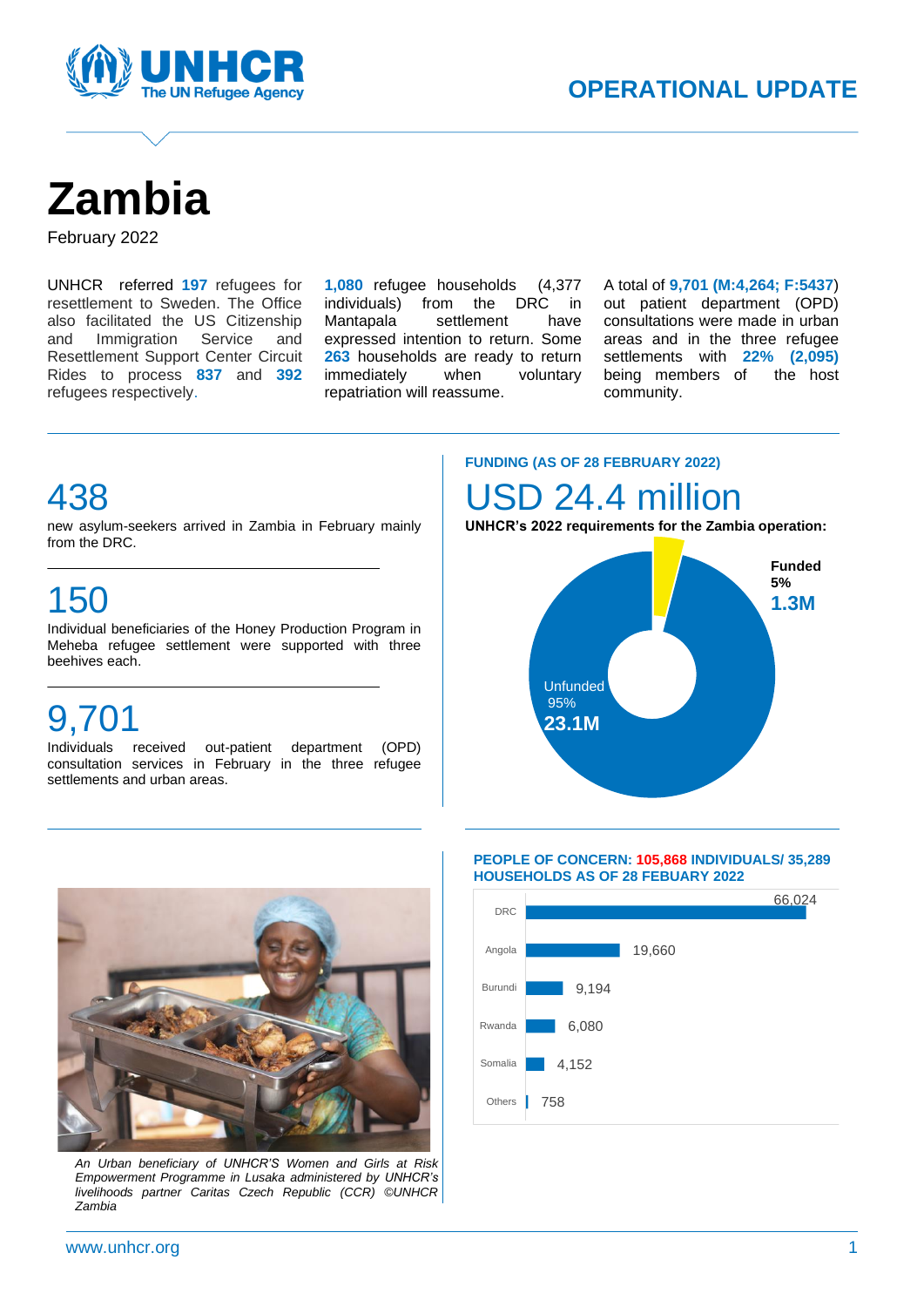

# **Zambia**

February 2022

UNHCR referred **197** refugees for resettlement to Sweden. The Office also facilitated the US Citizenship and Immigration Service and Resettlement Support Center Circuit Rides to process **837** and **392** refugees respectively.

**1,080** refugee households (4,377 individuals) from the DRC in Mantapala settlement have expressed intention to return. Some **263** households are ready to return immediately when voluntary repatriation will reassume.

A

A total of **9,701 (M:4,264; F:5437**) out patient department (OPD) consultations were made in urban areas and in the three refugee settlements with **22% (2,095)** being members of the host community.

### 438

new asylum-seekers arrived in Zambia in February mainly from the DRC.

## 150

Individual beneficiaries of the Honey Production Program in Meheba refugee settlement were supported with three beehives each.

## 9,701

Individuals received out-patient department (OPD) consultation services in February in the three refugee settlements and urban areas.

#### **FUNDING (AS OF 28 FEBRUARY 2022)**

## D 24.4 million

**UNHCR's 2022 requirements for the Zambia operation:**





*An Urban beneficiary of UNHCR'S Women and Girls at Risk Empowerment Programme in Lusaka administered by UNHCR's livelihoods partner Caritas Czech Republic (CCR) ©UNHCR Zambia*

#### **PEOPLE OF CONCERN: 105,868 INDIVIDUALS/ 35,289 HOUSEHOLDS AS OF 28 FEBUARY 2022**

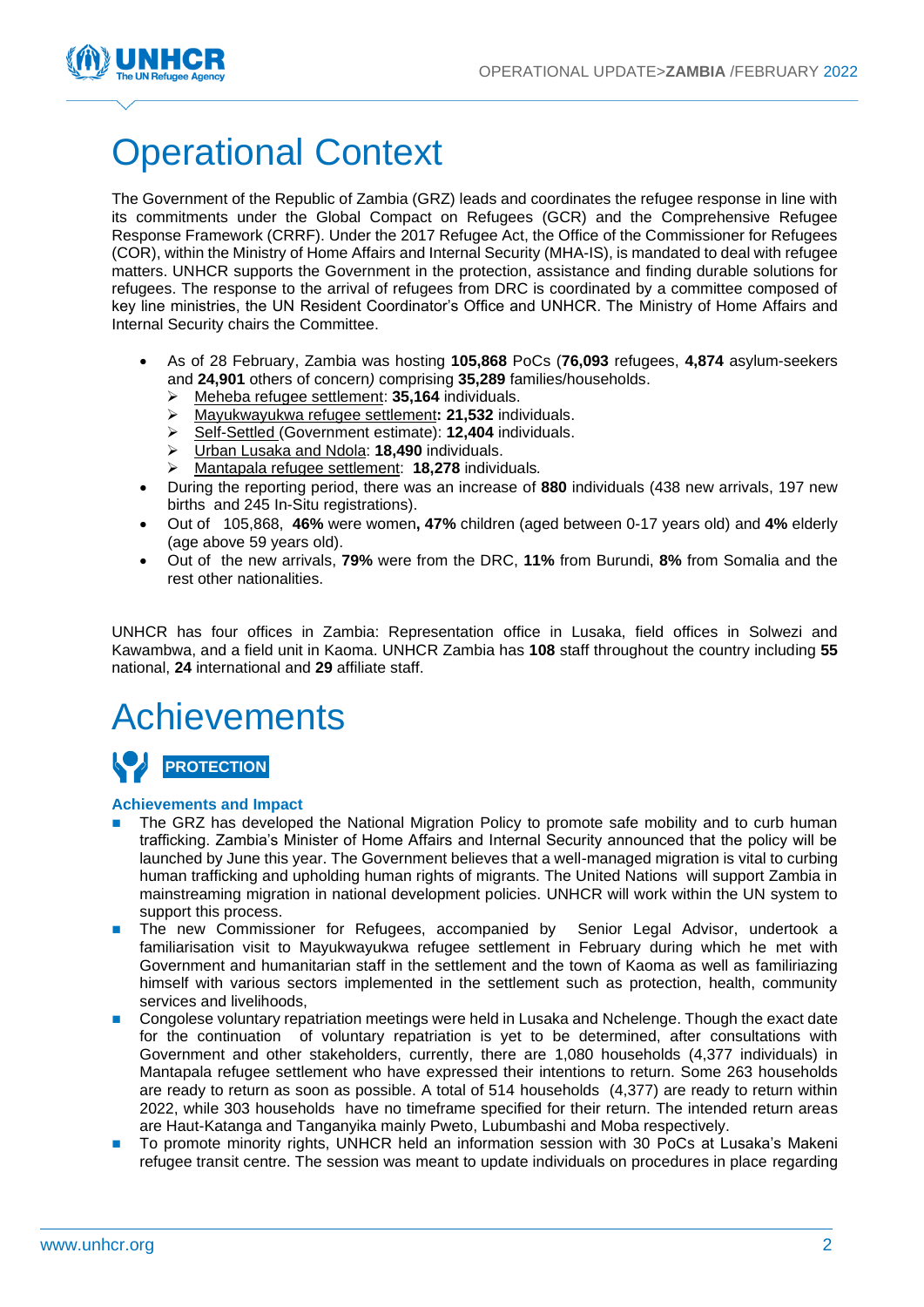

## Operational Context

The Government of the Republic of Zambia (GRZ) leads and coordinates the refugee response in line with its commitments under the Global Compact on Refugees (GCR) and the Comprehensive Refugee Response Framework (CRRF). Under the 2017 Refugee Act, the Office of the Commissioner for Refugees (COR), within the Ministry of Home Affairs and Internal Security (MHA-IS), is mandated to deal with refugee matters. UNHCR supports the Government in the protection, assistance and finding durable solutions for refugees. The response to the arrival of refugees from DRC is coordinated by a committee composed of key line ministries, the UN Resident Coordinator's Office and UNHCR. The Ministry of Home Affairs and Internal Security chairs the Committee.

- As of 28 February, Zambia was hosting **105,868** PoCs (**76,093** refugees, **4,874** asylum-seekers and **24,901** others of concern*)* comprising **35,289** families/households.
	- ➢ Meheba refugee settlement: **35,164** individuals.
	- ➢ Mayukwayukwa refugee settlement**: 21,532** individuals.
	- ➢ Self-Settled (Government estimate): **12,404** individuals.
	- ➢ Urban Lusaka and Ndola: **18,490** individuals.
	- ➢ Mantapala refugee settlement: **18,278** individuals*.*
- During the reporting period, there was an increase of **880** individuals (438 new arrivals, 197 new births and 245 In-Situ registrations).
- Out of 105,868, **46%** were women**, 47%** children (aged between 0-17 years old) and **4%** elderly (age above 59 years old).
- Out of the new arrivals, **79%** were from the DRC, **11%** from Burundi, **8%** from Somalia and the rest other nationalities.

UNHCR has four offices in Zambia: Representation office in Lusaka, field offices in Solwezi and Kawambwa, and a field unit in Kaoma. UNHCR Zambia has **108** staff throughout the country including **55** national, **24** international and **29** affiliate staff.

## Achievements

### **PROTECTION**

#### **Achievements and Impact**

- The GRZ has developed the National Migration Policy to promote safe mobility and to curb human trafficking. Zambia's Minister of Home Affairs and Internal Security announced that the policy will be launched by June this year. The Government believes that a well-managed migration is vital to curbing human trafficking and upholding human rights of migrants. The United Nations will support Zambia in mainstreaming migration in national development policies. UNHCR will work within the UN system to support this process.
- The new Commissioner for Refugees, accompanied by Senior Legal Advisor, undertook a familiarisation visit to Mayukwayukwa refugee settlement in February during which he met with Government and humanitarian staff in the settlement and the town of Kaoma as well as familiriazing himself with various sectors implemented in the settlement such as protection, health, community services and livelihoods,
- Congolese voluntary repatriation meetings were held in Lusaka and Nchelenge. Though the exact date for the continuation of voluntary repatriation is yet to be determined, after consultations with Government and other stakeholders, currently, there are 1,080 households (4,377 individuals) in Mantapala refugee settlement who have expressed their intentions to return. Some 263 households are ready to return as soon as possible. A total of 514 households (4,377) are ready to return within 2022, while 303 households have no timeframe specified for their return. The intended return areas are Haut-Katanga and Tanganyika mainly Pweto, Lubumbashi and Moba respectively.
- To promote minority rights, UNHCR held an information session with 30 PoCs at Lusaka's Makeni refugee transit centre. The session was meant to update individuals on procedures in place regarding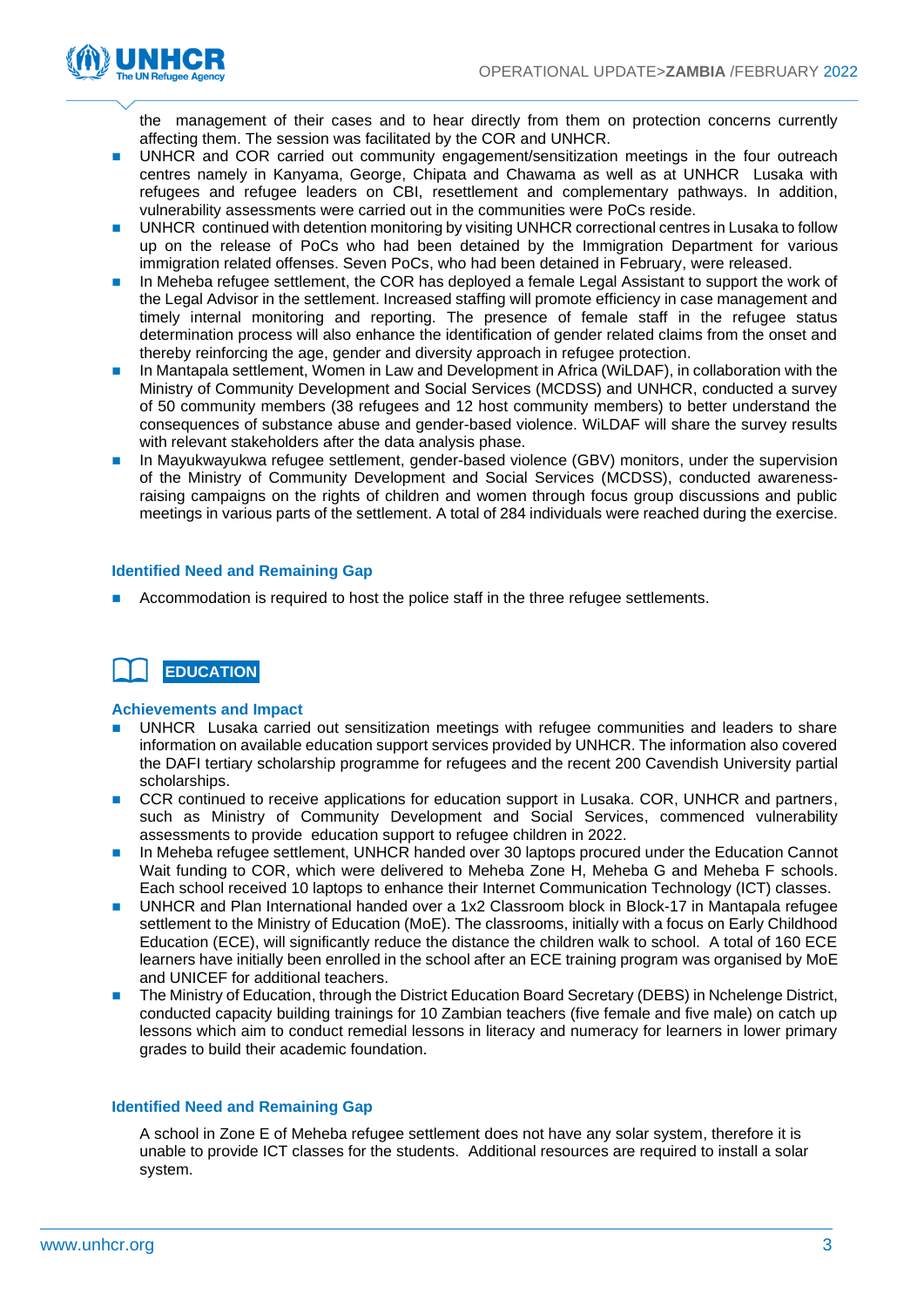

the management of their cases and to hear directly from them on protection concerns currently affecting them. The session was facilitated by the COR and UNHCR.

- UNHCR and COR carried out community engagement/sensitization meetings in the four outreach centres namely in Kanyama, George, Chipata and Chawama as well as at UNHCR Lusaka with refugees and refugee leaders on CBI, resettlement and complementary pathways. In addition, vulnerability assessments were carried out in the communities were PoCs reside.
- UNHCR continued with detention monitoring by visiting UNHCR correctional centres in Lusaka to follow up on the release of PoCs who had been detained by the Immigration Department for various immigration related offenses. Seven PoCs, who had been detained in February, were released.
- In Meheba refugee settlement, the COR has deployed a female Legal Assistant to support the work of the Legal Advisor in the settlement. Increased staffing will promote efficiency in case management and timely internal monitoring and reporting. The presence of female staff in the refugee status determination process will also enhance the identification of gender related claims from the onset and thereby reinforcing the age, gender and diversity approach in refugee protection.
- In Mantapala settlement, Women in Law and Development in Africa (WiLDAF), in collaboration with the Ministry of Community Development and Social Services (MCDSS) and UNHCR, conducted a survey of 50 community members (38 refugees and 12 host community members) to better understand the consequences of substance abuse and gender-based violence. WiLDAF will share the survey results with relevant stakeholders after the data analysis phase.
- In Mayukwayukwa refugee settlement, gender-based violence (GBV) monitors, under the supervision of the Ministry of Community Development and Social Services (MCDSS), conducted awarenessraising campaigns on the rights of children and women through focus group discussions and public meetings in various parts of the settlement. A total of 284 individuals were reached during the exercise.

#### **Identified Need and Remaining Gap**

Accommodation is required to host the police staff in the three refugee settlements.



#### **Achievements and Impact**

- ◼ UNHCR Lusaka carried out sensitization meetings with refugee communities and leaders to share information on available education support services provided by UNHCR. The information also covered the DAFI tertiary scholarship programme for refugees and the recent 200 Cavendish University partial scholarships.
- CCR continued to receive applications for education support in Lusaka. COR, UNHCR and partners, such as Ministry of Community Development and Social Services, commenced vulnerability assessments to provide education support to refugee children in 2022.
- In Meheba refugee settlement, UNHCR handed over 30 laptops procured under the Education Cannot Wait funding to COR, which were delivered to Meheba Zone H, Meheba G and Meheba F schools. Each school received 10 laptops to enhance their Internet Communication Technology (ICT) classes.
- UNHCR and Plan International handed over a 1x2 Classroom block in Block-17 in Mantapala refugee settlement to the Ministry of Education (MoE). The classrooms, initially with a focus on Early Childhood Education (ECE), will significantly reduce the distance the children walk to school. A total of 160 ECE learners have initially been enrolled in the school after an ECE training program was organised by MoE and UNICEF for additional teachers.
- The Ministry of Education, through the District Education Board Secretary (DEBS) in Nchelenge District, conducted capacity building trainings for 10 Zambian teachers (five female and five male) on catch up lessons which aim to conduct remedial lessons in literacy and numeracy for learners in lower primary grades to build their academic foundation.

#### **Identified Need and Remaining Gap**

A school in Zone E of Meheba refugee settlement does not have any solar system, therefore it is unable to provide ICT classes for the students. Additional resources are required to install a solar system.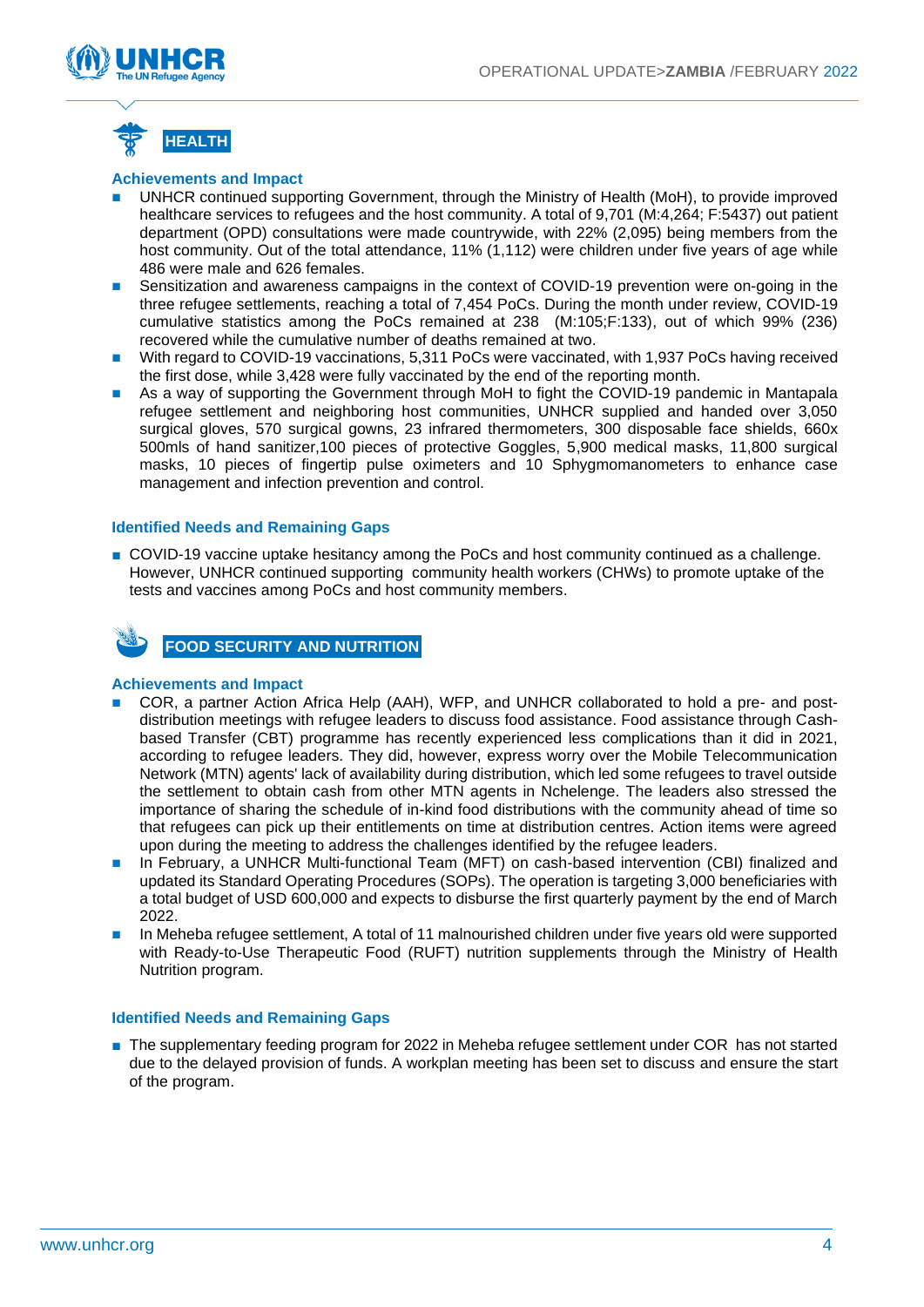



#### **Achievements and Impact**

- UNHCR continued supporting Government, through the Ministry of Health (MoH), to provide improved healthcare services to refugees and the host community. A total of 9,701 (M:4,264; F:5437) out patient department (OPD) consultations were made countrywide, with 22% (2,095) being members from the host community. Out of the total attendance, 11% (1,112) were children under five years of age while 486 were male and 626 females.
- Sensitization and awareness campaigns in the context of COVID-19 prevention were on-going in the three refugee settlements, reaching a total of 7,454 PoCs. During the month under review, COVID-19 cumulative statistics among the PoCs remained at 238 (M:105;F:133), out of which 99% (236) recovered while the cumulative number of deaths remained at two.
- With regard to COVID-19 vaccinations, 5,311 PoCs were vaccinated, with 1,937 PoCs having received the first dose, while 3,428 were fully vaccinated by the end of the reporting month.
- As a way of supporting the Government through MoH to fight the COVID-19 pandemic in Mantapala refugee settlement and neighboring host communities, UNHCR supplied and handed over 3,050 surgical gloves, 570 surgical gowns, 23 infrared thermometers, 300 disposable face shields, 660x 500mls of hand sanitizer,100 pieces of protective Goggles, 5,900 medical masks, 11,800 surgical masks, 10 pieces of fingertip pulse oximeters and 10 Sphygmomanometers to enhance case management and infection prevention and control.

#### **Identified Needs and Remaining Gaps**

■ COVID-19 vaccine uptake hesitancy among the PoCs and host community continued as a challenge. However, UNHCR continued supporting community health workers (CHWs) to promote uptake of the tests and vaccines among PoCs and host community members.



**FOOD SECURITY AND NUTRITION**

#### **Achievements and Impact**

- ◼ COR, a partner Action Africa Help (AAH), WFP, and UNHCR collaborated to hold a pre- and postdistribution meetings with refugee leaders to discuss food assistance. Food assistance through Cashbased Transfer (CBT) programme has recently experienced less complications than it did in 2021, according to refugee leaders. They did, however, express worry over the Mobile Telecommunication Network (MTN) agents' lack of availability during distribution, which led some refugees to travel outside the settlement to obtain cash from other MTN agents in Nchelenge. The leaders also stressed the importance of sharing the schedule of in-kind food distributions with the community ahead of time so that refugees can pick up their entitlements on time at distribution centres. Action items were agreed upon during the meeting to address the challenges identified by the refugee leaders.
- In February, a UNHCR Multi-functional Team (MFT) on cash-based intervention (CBI) finalized and updated its Standard Operating Procedures (SOPs). The operation is targeting 3,000 beneficiaries with a total budget of USD 600,000 and expects to disburse the first quarterly payment by the end of March 2022.
- In Meheba refugee settlement, A total of 11 malnourished children under five years old were supported with Ready-to-Use Therapeutic Food (RUFT) nutrition supplements through the Ministry of Health Nutrition program.

#### **Identified Needs and Remaining Gaps**

■ The supplementary feeding program for 2022 in Meheba refugee settlement under COR has not started due to the delayed provision of funds. A workplan meeting has been set to discuss and ensure the start of the program.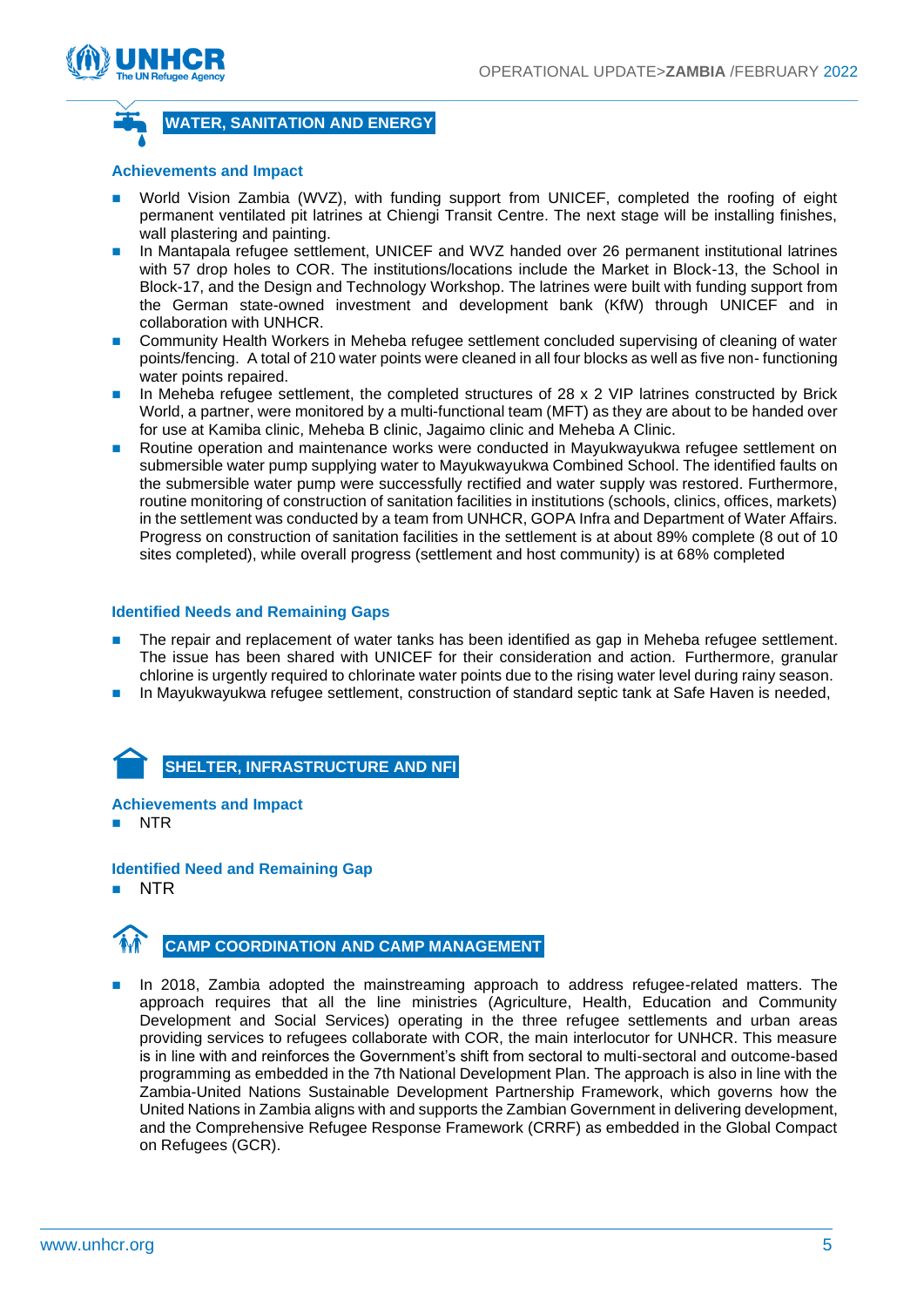



#### **WATER, SANITATION AND ENERGY**

#### **Achievements and Impact**

- World Vision Zambia (WVZ), with funding support from UNICEF, completed the roofing of eight permanent ventilated pit latrines at Chiengi Transit Centre. The next stage will be installing finishes, wall plastering and painting.
- In Mantapala refugee settlement, UNICEF and WVZ handed over 26 permanent institutional latrines with 57 drop holes to COR. The institutions/locations include the Market in Block-13, the School in Block-17, and the Design and Technology Workshop. The latrines were built with funding support from the German state-owned investment and development bank (KfW) through UNICEF and in collaboration with UNHCR.
- ◼ Community Health Workers in Meheba refugee settlement concluded supervising of cleaning of water points/fencing. A total of 210 water points were cleaned in all four blocks as well as five non- functioning water points repaired.
- In Meheba refugee settlement, the completed structures of 28 x 2 VIP latrines constructed by Brick World, a partner, were monitored by a multi-functional team (MFT) as they are about to be handed over for use at Kamiba clinic, Meheba B clinic, Jagaimo clinic and Meheba A Clinic.
- Routine operation and maintenance works were conducted in Mayukwayukwa refugee settlement on submersible water pump supplying water to Mayukwayukwa Combined School. The identified faults on the submersible water pump were successfully rectified and water supply was restored. Furthermore, routine monitoring of construction of sanitation facilities in institutions (schools, clinics, offices, markets) in the settlement was conducted by a team from UNHCR, GOPA Infra and Department of Water Affairs. Progress on construction of sanitation facilities in the settlement is at about 89% complete (8 out of 10 sites completed), while overall progress (settlement and host community) is at 68% completed

#### **Identified Needs and Remaining Gaps**

- The repair and replacement of water tanks has been identified as gap in Meheba refugee settlement. The issue has been shared with UNICEF for their consideration and action. Furthermore, granular chlorine is urgently required to chlorinate water points due to the rising water level during rainy season.
- In Mayukwayukwa refugee settlement, construction of standard septic tank at Safe Haven is needed,



#### **Achievements and Impact**

NTR

**Identified Need and Remaining Gap**

 $\blacksquare$  NTR



In 2018, Zambia adopted the mainstreaming approach to address refugee-related matters. The approach requires that all the line ministries (Agriculture, Health, Education and Community Development and Social Services) operating in the three refugee settlements and urban areas providing services to refugees collaborate with COR, the main interlocutor for UNHCR. This measure is in line with and reinforces the Government's shift from sectoral to multi-sectoral and outcome-based programming as embedded in the 7th National Development Plan. The approach is also in line with the Zambia-United Nations Sustainable Development Partnership Framework, which governs how the United Nations in Zambia aligns with and supports the Zambian Government in delivering development, and the Comprehensive Refugee Response Framework (CRRF) as embedded in the Global Compact on Refugees (GCR).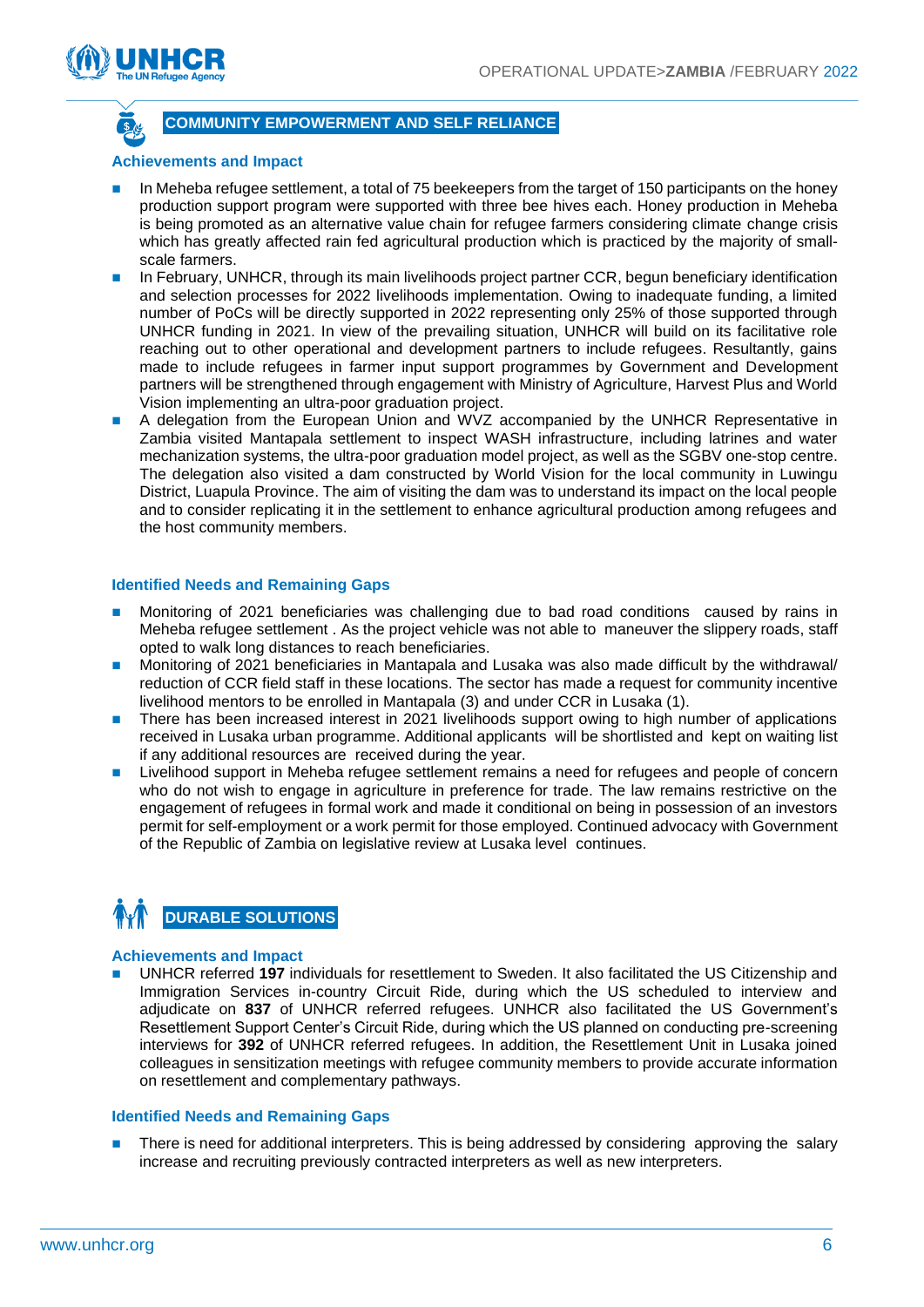

#### **COMMUNITY EMPOWERMENT AND SELF RELIANCE**

#### **Achievements and Impact**

- In Meheba refugee settlement, a total of 75 beekeepers from the target of 150 participants on the honey production support program were supported with three bee hives each. Honey production in Meheba is being promoted as an alternative value chain for refugee farmers considering climate change crisis which has greatly affected rain fed agricultural production which is practiced by the majority of smallscale farmers.
- In February, UNHCR, through its main livelihoods project partner CCR, begun beneficiary identification and selection processes for 2022 livelihoods implementation. Owing to inadequate funding, a limited number of PoCs will be directly supported in 2022 representing only 25% of those supported through UNHCR funding in 2021. In view of the prevailing situation, UNHCR will build on its facilitative role reaching out to other operational and development partners to include refugees. Resultantly, gains made to include refugees in farmer input support programmes by Government and Development partners will be strengthened through engagement with Ministry of Agriculture, Harvest Plus and World Vision implementing an ultra-poor graduation project.
- A delegation from the European Union and WVZ accompanied by the UNHCR Representative in Zambia visited Mantapala settlement to inspect WASH infrastructure, including latrines and water mechanization systems, the ultra-poor graduation model project, as well as the SGBV one-stop centre. The delegation also visited a dam constructed by World Vision for the local community in Luwingu District, Luapula Province. The aim of visiting the dam was to understand its impact on the local people and to consider replicating it in the settlement to enhance agricultural production among refugees and the host community members.

#### **Identified Needs and Remaining Gaps**

- Monitoring of 2021 beneficiaries was challenging due to bad road conditions caused by rains in Meheba refugee settlement . As the project vehicle was not able to maneuver the slippery roads, staff opted to walk long distances to reach beneficiaries.
- Monitoring of 2021 beneficiaries in Mantapala and Lusaka was also made difficult by the withdrawal/ reduction of CCR field staff in these locations. The sector has made a request for community incentive livelihood mentors to be enrolled in Mantapala (3) and under CCR in Lusaka (1).
- There has been increased interest in 2021 livelihoods support owing to high number of applications received in Lusaka urban programme. Additional applicants will be shortlisted and kept on waiting list if any additional resources are received during the year.
- Livelihood support in Meheba refugee settlement remains a need for refugees and people of concern who do not wish to engage in agriculture in preference for trade. The law remains restrictive on the engagement of refugees in formal work and made it conditional on being in possession of an investors permit for self-employment or a work permit for those employed. Continued advocacy with Government of the Republic of Zambia on legislative review at Lusaka level continues.

### **DURABLE SOLUTIONS**

#### **Achievements and Impact**

■ UNHCR referred 197 individuals for resettlement to Sweden. It also facilitated the US Citizenship and Immigration Services in-country Circuit Ride, during which the US scheduled to interview and adjudicate on **837** of UNHCR referred refugees. UNHCR also facilitated the US Government's Resettlement Support Center's Circuit Ride, during which the US planned on conducting pre-screening interviews for **392** of UNHCR referred refugees. In addition, the Resettlement Unit in Lusaka joined colleagues in sensitization meetings with refugee community members to provide accurate information on resettlement and complementary pathways.

#### **Identified Needs and Remaining Gaps**

There is need for additional interpreters. This is being addressed by considering approving the salary increase and recruiting previously contracted interpreters as well as new interpreters.